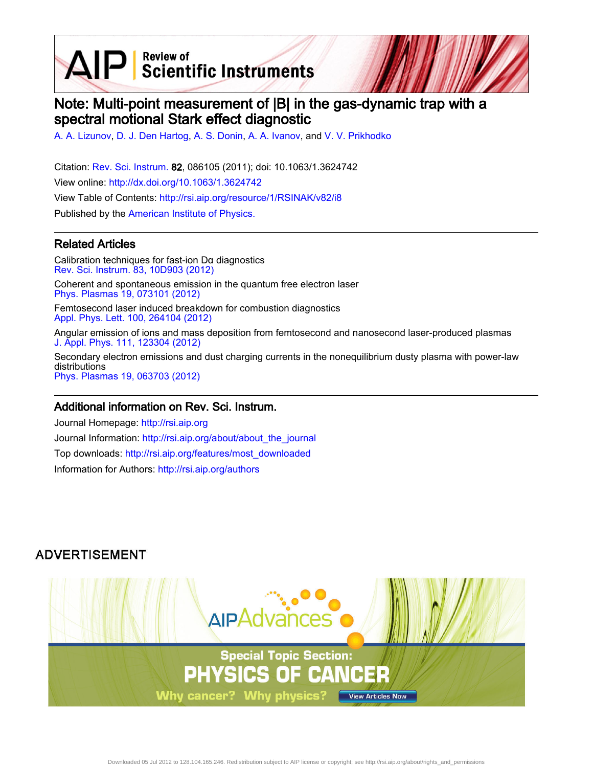AIP Scientific Instruments

# Note: Multi-point measurement of |B| in the gas-dynamic trap with a spectral motional Stark effect diagnostic

[A. A. Lizunov,](http://rsi.aip.org/search?sortby=newestdate&q=&searchzone=2&searchtype=searchin&faceted=faceted&key=AIP_ALL&possible1=A. A. Lizunov&possible1zone=author&alias=&displayid=AIP&ver=pdfcov) [D. J. Den Hartog,](http://rsi.aip.org/search?sortby=newestdate&q=&searchzone=2&searchtype=searchin&faceted=faceted&key=AIP_ALL&possible1=D. J. Den Hartog&possible1zone=author&alias=&displayid=AIP&ver=pdfcov) [A. S. Donin,](http://rsi.aip.org/search?sortby=newestdate&q=&searchzone=2&searchtype=searchin&faceted=faceted&key=AIP_ALL&possible1=A. S. Donin&possible1zone=author&alias=&displayid=AIP&ver=pdfcov) [A. A. Ivanov](http://rsi.aip.org/search?sortby=newestdate&q=&searchzone=2&searchtype=searchin&faceted=faceted&key=AIP_ALL&possible1=A. A. Ivanov&possible1zone=author&alias=&displayid=AIP&ver=pdfcov), and [V. V. Prikhodko](http://rsi.aip.org/search?sortby=newestdate&q=&searchzone=2&searchtype=searchin&faceted=faceted&key=AIP_ALL&possible1=V. V. Prikhodko&possible1zone=author&alias=&displayid=AIP&ver=pdfcov)

Citation: [Rev. Sci. Instrum.](http://rsi.aip.org?ver=pdfcov) 82, 086105 (2011); doi: 10.1063/1.3624742 View online: [http://dx.doi.org/10.1063/1.3624742](http://link.aip.org/link/doi/10.1063/1.3624742?ver=pdfcov) View Table of Contents: [http://rsi.aip.org/resource/1/RSINAK/v82/i8](http://rsi.aip.org/resource/1/RSINAK/v82/i8?ver=pdfcov) Published by the [American Institute of Physics.](http://www.aip.org/?ver=pdfcov)

#### Related Articles

Calibration techniques for fast-ion Dα diagnostics [Rev. Sci. Instrum. 83, 10D903 \(2012\)](http://link.aip.org/link/doi/10.1063/1.4732060?ver=pdfcov)

Coherent and spontaneous emission in the quantum free electron laser [Phys. Plasmas 19, 073101 \(2012\)](http://link.aip.org/link/doi/10.1063/1.4729337?ver=pdfcov)

Femtosecond laser induced breakdown for combustion diagnostics [Appl. Phys. Lett. 100, 264104 \(2012\)](http://link.aip.org/link/doi/10.1063/1.4731781?ver=pdfcov)

Angular emission of ions and mass deposition from femtosecond and nanosecond laser-produced plasmas [J. Appl. Phys. 111, 123304 \(2012\)](http://link.aip.org/link/doi/10.1063/1.4730444?ver=pdfcov)

Secondary electron emissions and dust charging currents in the nonequilibrium dusty plasma with power-law distributions [Phys. Plasmas 19, 063703 \(2012\)](http://link.aip.org/link/doi/10.1063/1.4729684?ver=pdfcov)

#### Additional information on Rev. Sci. Instrum.

Journal Homepage: [http://rsi.aip.org](http://rsi.aip.org?ver=pdfcov) Journal Information: [http://rsi.aip.org/about/about\\_the\\_journal](http://rsi.aip.org/about/about_the_journal?ver=pdfcov) Top downloads: [http://rsi.aip.org/features/most\\_downloaded](http://rsi.aip.org/features/most_downloaded?ver=pdfcov) Information for Authors: [http://rsi.aip.org/authors](http://rsi.aip.org/authors?ver=pdfcov)

### **ADVERTISEMENT**

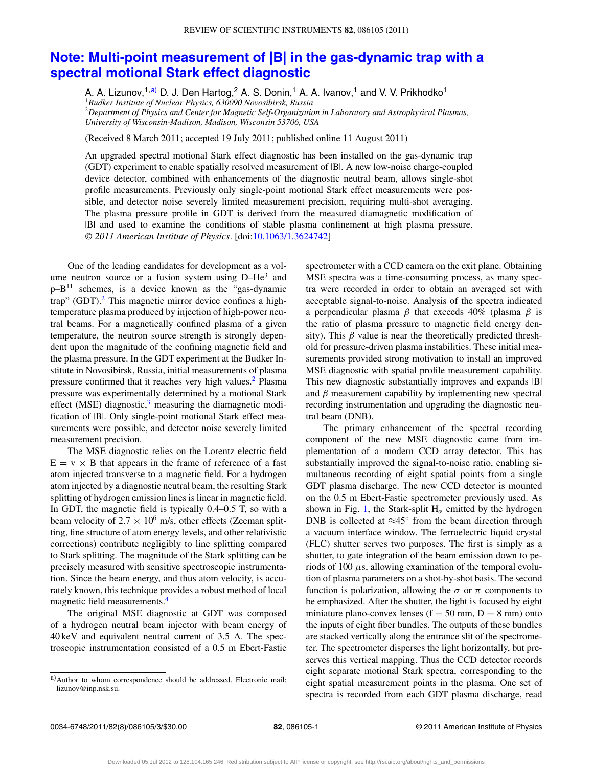## **[Note: Multi-point measurement of |B| in the gas-dynamic trap with a](http://dx.doi.org/10.1063/1.3624742) [spectral motional Stark effect diagnostic](http://dx.doi.org/10.1063/1.3624742)**

A. A. Lizunov,<sup>1[,a\)](#page-1-0)</sup> D. J. Den Hartog,<sup>2</sup> A. S. Donin,<sup>1</sup> A. A. Ivanov,<sup>1</sup> and V. V. Prikhodko<sup>1</sup> <sup>1</sup>*Budker Institute of Nuclear Physics, 630090 Novosibirsk, Russia* <sup>2</sup>*Department of Physics and Center for Magnetic Self-Organization in Laboratory and Astrophysical Plasmas, University of Wisconsin-Madison, Madison, Wisconsin 53706, USA*

(Received 8 March 2011; accepted 19 July 2011; published online 11 August 2011)

An upgraded spectral motional Stark effect diagnostic has been installed on the gas-dynamic trap (GDT) experiment to enable spatially resolved measurement of |B|. A new low-noise charge-coupled device detector, combined with enhancements of the diagnostic neutral beam, allows single-shot profile measurements. Previously only single-point motional Stark effect measurements were possible, and detector noise severely limited measurement precision, requiring multi-shot averaging. The plasma pressure profile in GDT is derived from the measured diamagnetic modification of |B| and used to examine the conditions of stable plasma confinement at high plasma pressure. *© 2011 American Institute of Physics*. [doi[:10.1063/1.3624742\]](http://dx.doi.org/10.1063/1.3624742)

One of the leading candidates for development as a volume neutron source or a fusion system using  $D-He^3$  and  $p-B<sup>11</sup>$  schemes, is a device known as the "gas-dynamic trap" (GDT).<sup>2</sup> This magnetic mirror device confines a hightemperature plasma produced by injection of high-power neutral beams. For a magnetically confined plasma of a given temperature, the neutron source strength is strongly dependent upon the magnitude of the confining magnetic field and the plasma pressure. In the GDT experiment at the Budker Institute in Novosibirsk, Russia, initial measurements of plasma pressure confirmed that it reaches very high values.<sup>2</sup> Plasma pressure was experimentally determined by a motional Stark effect (MSE) diagnostic, $3$  measuring the diamagnetic modification of  $|B|$ . Only single-point motional Stark effect measurements were possible, and detector noise severely limited measurement precision.

The MSE diagnostic relies on the Lorentz electric field  $E = v \times B$  that appears in the frame of reference of a fast atom injected transverse to a magnetic field. For a hydrogen atom injected by a diagnostic neutral beam, the resulting Stark splitting of hydrogen emission lines is linear in magnetic field. In GDT, the magnetic field is typically 0.4–0.5 T, so with a beam velocity of  $2.7 \times 10^6$  m/s, other effects (Zeeman splitting, fine structure of atom energy levels, and other relativistic corrections) contribute negligibly to line splitting compared to Stark splitting. The magnitude of the Stark splitting can be precisely measured with sensitive spectroscopic instrumentation. Since the beam energy, and thus atom velocity, is accurately known, this technique provides a robust method of local magnetic field measurements[.4](#page-3-2)

The original MSE diagnostic at GDT was composed of a hydrogen neutral beam injector with beam energy of 40 keV and equivalent neutral current of 3.5 A. The spectroscopic instrumentation consisted of a 0.5 m Ebert-Fastie

spectrometer with a CCD camera on the exit plane. Obtaining MSE spectra was a time-consuming process, as many spectra were recorded in order to obtain an averaged set with acceptable signal-to-noise. Analysis of the spectra indicated a perpendicular plasma  $β$  that exceeds 40% (plasma  $β$  is the ratio of plasma pressure to magnetic field energy density). This  $\beta$  value is near the theoretically predicted threshold for pressure-driven plasma instabilities. These initial measurements provided strong motivation to install an improved MSE diagnostic with spatial profile measurement capability. This new diagnostic substantially improves and expands |B| and  $\beta$  measurement capability by implementing new spectral recording instrumentation and upgrading the diagnostic neutral beam (DNB).

The primary enhancement of the spectral recording component of the new MSE diagnostic came from implementation of a modern CCD array detector. This has substantially improved the signal-to-noise ratio, enabling simultaneous recording of eight spatial points from a single GDT plasma discharge. The new CCD detector is mounted on the 0.5 m Ebert-Fastie spectrometer previously used. As shown in Fig. [1,](#page-2-0) the Stark-split  $H_{\alpha}$  emitted by the hydrogen DNB is collected at  $\approx 45^\circ$  from the beam direction through a vacuum interface window. The ferroelectric liquid crystal (FLC) shutter serves two purposes. The first is simply as a shutter, to gate integration of the beam emission down to periods of 100  $\mu$ s, allowing examination of the temporal evolution of plasma parameters on a shot-by-shot basis. The second function is polarization, allowing the  $\sigma$  or  $\pi$  components to be emphasized. After the shutter, the light is focused by eight miniature plano-convex lenses ( $f = 50$  mm,  $D = 8$  mm) onto the inputs of eight fiber bundles. The outputs of these bundles are stacked vertically along the entrance slit of the spectrometer. The spectrometer disperses the light horizontally, but preserves this vertical mapping. Thus the CCD detector records eight separate motional Stark spectra, corresponding to the eight spatial measurement points in the plasma. One set of spectra is recorded from each GDT plasma discharge, read

<span id="page-1-0"></span>a) Author to whom correspondence should be addressed. Electronic mail: [lizunov@inp.nsk.su.](mailto: lizunov@inp.nsk.su)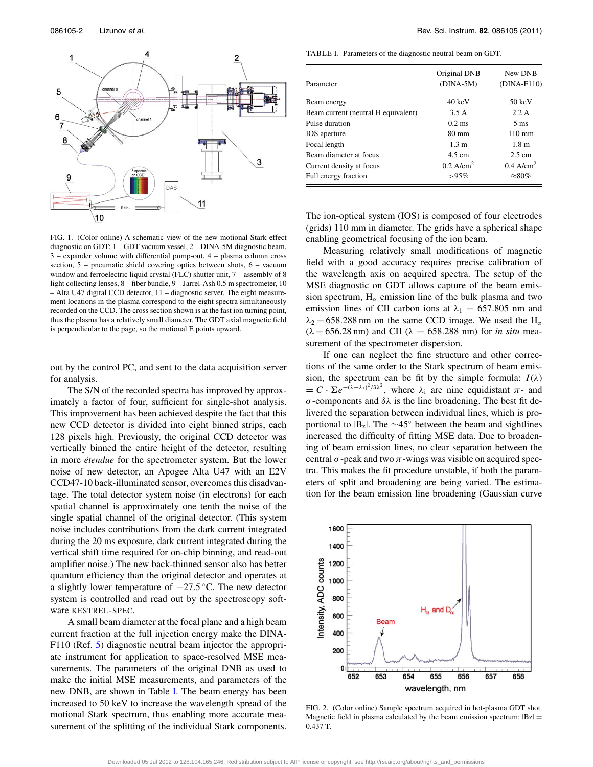<span id="page-2-0"></span>

FIG. 1. (Color online) A schematic view of the new motional Stark effect diagnostic on GDT: 1 – GDT vacuum vessel, 2 – DINA-5M diagnostic beam, 3 – expander volume with differential pump-out, 4 – plasma column cross section, 5 – pneumatic shield covering optics between shots, 6 – vacuum window and ferroelectric liquid crystal (FLC) shutter unit, 7 – assembly of 8 light collecting lenses, 8 – fiber bundle, 9 – Jarrel-Ash 0.5 m spectrometer, 10 – Alta U47 digital CCD detector, 11 – diagnostic server. The eight measurement locations in the plasma correspond to the eight spectra simultaneously recorded on the CCD. The cross section shown is at the fast ion turning point, thus the plasma has a relatively small diameter. The GDT axial magnetic field is perpendicular to the page, so the motional E points upward.

out by the control PC, and sent to the data acquisition server for analysis.

The S/N of the recorded spectra has improved by approximately a factor of four, sufficient for single-shot analysis. This improvement has been achieved despite the fact that this new CCD detector is divided into eight binned strips, each 128 pixels high. Previously, the original CCD detector was vertically binned the entire height of the detector, resulting in more *étendue* for the spectrometer system. But the lower noise of new detector, an Apogee Alta U47 with an E2V CCD47-10 back-illuminated sensor, overcomes this disadvantage. The total detector system noise (in electrons) for each spatial channel is approximately one tenth the noise of the single spatial channel of the original detector. (This system noise includes contributions from the dark current integrated during the 20 ms exposure, dark current integrated during the vertical shift time required for on-chip binning, and read-out amplifier noise.) The new back-thinned sensor also has better quantum efficiency than the original detector and operates at a slightly lower temperature of −27.5 ◦C. The new detector system is controlled and read out by the spectroscopy software KESTREL-SPEC.

A small beam diameter at the focal plane and a high beam current fraction at the full injection energy make the DINA-F110 (Ref. [5\)](#page-3-3) diagnostic neutral beam injector the appropriate instrument for application to space-resolved MSE measurements. The parameters of the original DNB as used to make the initial MSE measurements, and parameters of the new DNB, are shown in Table [I.](#page-2-1) The beam energy has been increased to 50 keV to increase the wavelength spread of the motional Stark spectrum, thus enabling more accurate measurement of the splitting of the individual Stark components.

<span id="page-2-1"></span>TABLE I. Parameters of the diagnostic neutral beam on GDT.

| Parameter                           | Original DNB<br>$(DINA-5M)$ | New DNB<br>$(DINA-F110)$ |
|-------------------------------------|-----------------------------|--------------------------|
| Beam energy                         | $40 \text{ keV}$            | $50 \text{ keV}$         |
| Beam current (neutral H equivalent) | 3.5 A                       | 2.2A                     |
| Pulse duration                      | $0.2 \text{ ms}$            | $5 \text{ ms}$           |
| <b>IOS</b> aperture                 | $80 \text{ mm}$             | $110 \text{ mm}$         |
| Focal length                        | 1.3 <sub>m</sub>            | 1.8 <sub>m</sub>         |
| Beam diameter at focus              | $4.5 \text{ cm}$            | $2.5 \text{ cm}$         |
| Current density at focus            | $0.2$ A/cm <sup>2</sup>     | $0.4$ A/cm <sup>2</sup>  |
| Full energy fraction                | $>95\%$                     | $\approx 80\%$           |

The ion-optical system (IOS) is composed of four electrodes (grids) 110 mm in diameter. The grids have a spherical shape enabling geometrical focusing of the ion beam.

Measuring relatively small modifications of magnetic field with a good accuracy requires precise calibration of the wavelength axis on acquired spectra. The setup of the MSE diagnostic on GDT allows capture of the beam emission spectrum,  $H_{\alpha}$  emission line of the bulk plasma and two emission lines of CII carbon ions at  $\lambda_1 = 657.805$  nm and  $\lambda_2$  = 658.288 nm on the same CCD image. We used the H<sub>α</sub>  $(\lambda = 656.28 \text{ nm})$  and CII  $(\lambda = 658.288 \text{ nm})$  for *in situ* measurement of the spectrometer dispersion.

If one can neglect the fine structure and other corrections of the same order to the Stark spectrum of beam emission, the spectrum can be fit by the simple formula:  $I(\lambda)$  $= C \cdot \sum e^{-(\lambda - \lambda_i)^2/\delta \lambda^2}$ , where  $\lambda_i$  are nine equidistant  $\pi$ - and σ-components and δλ is the line broadening. The best fit delivered the separation between individual lines, which is proportional to  $|B_z|$ . The ∼45° between the beam and sightlines increased the difficulty of fitting MSE data. Due to broadening of beam emission lines, no clear separation between the central  $\sigma$ -peak and two  $\pi$ -wings was visible on acquired spectra. This makes the fit procedure unstable, if both the parameters of split and broadening are being varied. The estimation for the beam emission line broadening (Gaussian curve

<span id="page-2-2"></span>

FIG. 2. (Color online) Sample spectrum acquired in hot-plasma GDT shot. Magnetic field in plasma calculated by the beam emission spectrum:  $|Bz|$  = 0.437 T.